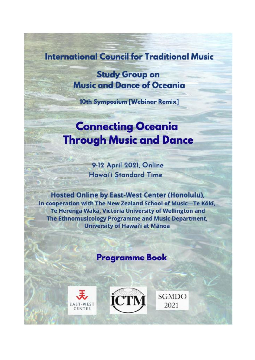## **International Council for Traditional Music**

**Study Group on Music and Dance of Oceania** 

10th Symposium [Webinar Remix]

# **Connecting Oceania Through Music and Dance**

9-12 April 2021, Online **Hawai'i Standard Time** 

**Hosted Online by East-West Center (Honolulu),** in cooperation with The New Zealand School of Music-Te Kōkī, Te Herenga Waka, Victoria University of Wellington and The Ethnomusicology Programme and Music Department, **University of Hawai'i at Mānoa** 

## **Programme Book**





**SGMDO** 2021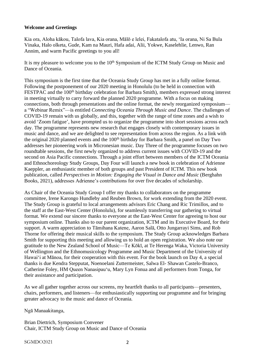#### **Welcome and Greetings**

Kia ora, Aloha kākou, Talofa lava, Kia orana, Mālō e lelei, Fakatalofa atu, 'Ia orana, Ni Sa Bula Vinaka, Halo olketa, Gude, Kam na Mauri, Hafa adai, Alii, Yokwe, Kaselehlie, Lenwo, Ran Annim, and warm Pacific greetings to you all!

It is my pleasure to welcome you to the  $10<sup>th</sup>$  Symposium of the ICTM Study Group on Music and Dance of Oceania.

This symposium is the first time that the Oceania Study Group has met in a fully online format. Following the postponement of our 2020 meeting in Honolulu (to be held in connection with FESTPAC and the 100<sup>th</sup> birthday celebration for Barbara Smith), members expressed strong interest in meeting virtually to carry forward the planned 2020 programme. With a focus on making connections, both through presentations and the online format, the newly reorganized symposium a "Webinar Remix"—is entitled *Connecting Oceania Through Music and Dance*. The challenges of COVID-19 remain with us globally, and this, together with the range of time zones and a wish to avoid 'Zoom fatigue', have prompted us to organize the programme into short sessions across each day. The programme represents new research that engages closely with contemporary issues in music and dance, and we are delighted to see representation from across the region. As a link with the original 2020 planned events and the 100<sup>th</sup> birthday for Barbara Smith, a panel on Day Two addresses her pioneering work in Micronesian music. Day Three of the programme focuses on two roundtable sessions, the first newly organized to address current issues with COVID-19 and the second on Asia Pacific connections. Through a joint effort between members of the ICTM Oceania and Ethnochoreology Study Groups, Day Four will launch a new book in celebration of Adrienne Kaeppler, an enthusiastic member of both groups and past President of ICTM. This new book publication, called *Perspectives in Motion: Engaging the Visual in Dance and Music* (Berghahn Books, 2021), addresses Adrienne's contributions for over five decades of scholarship.

As Chair of the Oceania Study Group I offer my thanks to collaborators on the programme committee, Irene Karongo Hundleby and Reuben Brown, for work extending from the 2020 event. The Study Group is grateful to local arrangements advisors Eric Chang and Ric Trimillos, and to the staff at the East-West Center (Honolulu), for seamlessly transferring our gathering to virtual format. We extend our sincere thanks to everyone at the East-West Center for agreeing to host our symposium online. Thanks also to our parent organization, ICTM and its Executive Board, for their support. A warm appreciation to Tāmihana Katene, Aaron Salā, Otto Jungarrayi Sims, and Rob Thorne for offering their musical skills to the symposium. The Study Group acknowledges Barbara Smith for supporting this meeting and allowing us to hold an open registration. We also note our gratitude to the New Zealand School of Music—Te Kōkī, at Te Herenga Waka, Victoria University of Wellington and the Ethnomusicology Programme and Music Department of the University of Hawaiʻi at Mānoa, for their cooperation with this event. For the book launch on Day 4, a special thanks is due Kendra Stepputat, Noenoelani Zuttermeister, Salwa El- Shawan Castelo-Branco, Catherine Foley, HM Queen Nanasipau'u, Mary Lyn Fonua and all performers from Tonga, for their assistance and participation.

As we all gather together across our screens, my heartfelt thanks to all participants—presenters, chairs, performers, and listeners—for enthusiastically supporting our programme and for bringing greater advocacy to the music and dance of Oceania.

Ngā Manaakitanga,

Brian Diettrich, Symposium Convener Chair, ICTM Study Group on Music and Dance of Oceania

SGMDO2021 2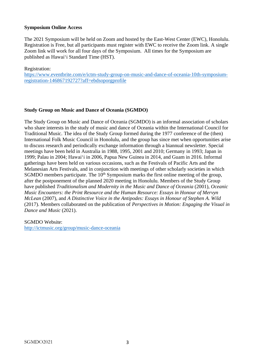#### **Symposium Online Access**

The 2021 Symposium will be held on Zoom and hosted by the East-West Center (EWC), Honolulu. Registration is Free, but all participants must register with EWC to receive the Zoom link. A single Zoom link will work for all four days of the Symposium. All times for the Symposium are published as Hawaiʻi Standard Time (HST).

Registration:

[https://www.eventbrite.com/e/ictm-study-group-on-music-and-dance-of-oceania-10th-symposium](https://www.eventbrite.com/e/ictm-study-group-on-music-and-dance-of-oceania-10th-symposium-registration-146867192727?aff=ebdsoporgprofile)[registration-146867192727?aff=ebdsoporgprofile](https://www.eventbrite.com/e/ictm-study-group-on-music-and-dance-of-oceania-10th-symposium-registration-146867192727?aff=ebdsoporgprofile)

#### **Study Group on Music and Dance of Oceania (SGMDO)**

The Study Group on Music and Dance of Oceania (SGMDO) is an informal association of scholars who share interests in the study of music and dance of Oceania within the International Council for Traditional Music. The idea of the Study Group formed during the 1977 conference of the (then) International Folk Music Council in Honolulu, and the group has since met when opportunities arise to discuss research and periodically exchange information through a biannual newsletter. Special meetings have been held in Australia in 1988, 1995, 2001 and 2010; Germany in 1993; Japan in 1999; Palau in 2004; Hawai'i in 2006, Papua New Guinea in 2014, and Guam in 2016. Informal gatherings have been held on various occasions, such as the Festivals of Pacific Arts and the Melanesian Arts Festivals, and in conjunction with meetings of other scholarly societies in which SGMDO members participate. The  $10<sup>th</sup>$  Symposium marks the first online meeting of the group, after the postponement of the planned 2020 meeting in Honolulu. Members of the Study Group have published *Traditionalism and Modernity in the Music and Dance of Oceania* (2001), *Oceanic Music Encounters: the Print Resource and the Human Resource: Essays in Honour of Mervyn McLean* (2007), and *A Distinctive Voice in the Antipodes: Essays in Honour of Stephen A. Wild* (2017). Members collaborated on the publication of *Perspectives in Motion: Engaging the Visual in Dance and Music* (2021).

SGMDO Website: <http://ictmusic.org/group/music-dance-oceania>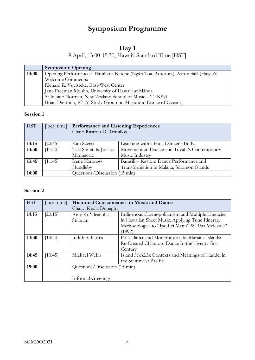## **Symposium Programme**

## **Day 1**

## 9 April, 13:00-15:30, Hawai'i Standard Time [HST]

|       | <b>Symposium Opening</b>                                                          |
|-------|-----------------------------------------------------------------------------------|
| 13:00 | Opening Performances: Tāmihana Katene (Ngāti Toa, Aoteaora), Aaron Salā (Hawai'i) |
|       | Welcome Comments:                                                                 |
|       | Richard R. Vuylsteke, East-West Center                                            |
|       | Jane Freeman Moulin, University of Hawai'i at Mānoa                               |
|       | Sally Jane Norman, New Zealand School of Music-Te Kōkī                            |
|       | Brian Diettrich, ICTM Study Group on Music and Dance of Oceania                   |

#### **Session 1**

| <b>HST</b> | [local time] | <b>Performance and Listening Experiences</b><br>Chair: Ricardo D. Trimillos |                                               |
|------------|--------------|-----------------------------------------------------------------------------|-----------------------------------------------|
|            |              |                                                                             |                                               |
| 13:15      | [20:45]      | Kati Szego                                                                  | Listening with a Hula Dancer's Body.          |
| 13:30      | [11:30]      | Tala Simeti & Jessica                                                       | Movement and Success in Tuvalu's Contemporary |
|            |              | Marinaccio                                                                  | Music Industry                                |
| 13:45      | [11:45]      | Irene Karongo                                                               | Barasili – Kastom Dance Performance and       |
|            |              | Hundleby                                                                    | Transformation in Malaita, Solomon Islands    |
| 14:00      |              | Questions/Discussion (15 min)                                               |                                               |

#### **Session 2**

| <b>HST</b> | [local time] |                               | <b>Historical Consciousness in Music and Dance</b>  |
|------------|--------------|-------------------------------|-----------------------------------------------------|
|            |              | Chair: Keola Donaghy          |                                                     |
| 14:15      | [20:15]      | Amy Ku'uleialoha              | Indigenous Cosmopolitanism and Multiple Literacies  |
|            |              | Stillman                      | in Hawaiian Sheet Music: Applying Tune Itinerary    |
|            |              |                               | Methodologies to "Ipo Lei Manu" & "Pua Melekule"    |
|            |              |                               | (1892)                                              |
| 14:30      | [10:30]      | Judith S. Flores              | Folk Dance and Modernity in the Mariana Islands:    |
|            |              |                               | Re-Created CHamoru Dance In the Twenty-first        |
|            |              |                               | Century                                             |
| 14:45      | [10:45]      | Michael Webb                  | Island Messiahs: Contexts and Meanings of Handel in |
|            |              |                               | the Southwest Pacific                               |
| 15:00      |              | Questions/Discussion (15 min) |                                                     |
|            |              |                               |                                                     |
|            |              | Informal Greetings            |                                                     |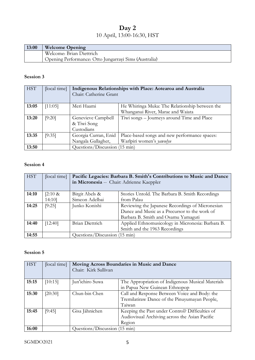## **Day 2**  10 April, 13:00-16:30, HST

| 13:00 | <b>Welcome Opening</b>                                 |
|-------|--------------------------------------------------------|
|       | Welcome: Brian Diettrich                               |
|       | 'Opening Performance: Otto Jungarrayi Sims (Australia) |

#### **Session 3**

| <b>HST</b> | [local time] | Indigenous Relationships with Place: Aotearoa and Australia<br>Chair: Catherine Grant |                                                |
|------------|--------------|---------------------------------------------------------------------------------------|------------------------------------------------|
| 13:05      | [11:05]      | Meri Haami                                                                            | He Whiringa Muka: The Relationship between the |
|            |              |                                                                                       | Whanganui River, Marae and Waiata              |
| 13:20      | [9:20]       | Genevieve Campbell                                                                    | Tiwi songs – Journeys around Time and Place    |
|            |              | & Tiwi Song                                                                           |                                                |
|            |              | Custodians                                                                            |                                                |
| 13:35      | [9:35]       | Georgia Curran, Enid                                                                  | Place-based songs and new performance spaces:  |
|            |              | Nangala Gallagher,                                                                    | Warlpiri women's yawulyu                       |
| 13:50      |              | Questions/Discussion (15 min)                                                         |                                                |

#### **Session 4**

| <b>HST</b> | [local time] | Pacific Legacies: Barbara B. Smith's Contributions to Music and Dance<br>in Micronesia -- Chair: Adrienne Kaeppler |                                                   |
|------------|--------------|--------------------------------------------------------------------------------------------------------------------|---------------------------------------------------|
| 14:10      | $[2:10 \&$   | Birgit Abels &                                                                                                     | Stories Untold. The Barbara B. Smith Recordings   |
|            | 14:10        | Simeon Adelbai                                                                                                     | from Palau                                        |
| 14:25      | [9:25]       | Junko Konishi                                                                                                      | Reviewing the Japanese Recordings of Micronesian  |
|            |              |                                                                                                                    | Dance and Music as a Precursor to the work of     |
|            |              |                                                                                                                    | Barbara B. Smith and Osamu Yamaguti               |
| 14:40      | [12:40]      | Brian Diettrich                                                                                                    | Applied Ethnomusicology in Micronesia: Barbara B. |
|            |              |                                                                                                                    | Smith and the 1963 Recordings                     |
| 14:55      |              | Questions/Discussion (15 min)                                                                                      |                                                   |

### **Session 5**

| <b>HST</b> | [local time] | Moving Across Boundaries in Music and Dance<br>Chair: Kirk Sullivan |                                                   |
|------------|--------------|---------------------------------------------------------------------|---------------------------------------------------|
| 15:15      | [10:15]      | Jun'ichiro Suwa                                                     | The Appropriation of Indigenous Musical Materials |
|            |              |                                                                     | in Papua New Guinean Ethnopop                     |
| 15:30      | [20:30]      | Chun-bin Chen                                                       | Call and Response Between Voice and Body: the     |
|            |              |                                                                     | Tremilatiraw Dance of the Pinuyumayan People,     |
|            |              |                                                                     | Taiwan                                            |
| 15:45      | [9:45]       | Gisa Jähnichen                                                      | Keeping the Past under Control? Difficulties of   |
|            |              |                                                                     | Audiovisual Archiving across the Asian Pacific    |
|            |              |                                                                     | Region                                            |
| 16:00      |              | Questions/Discussion (15 min)                                       |                                                   |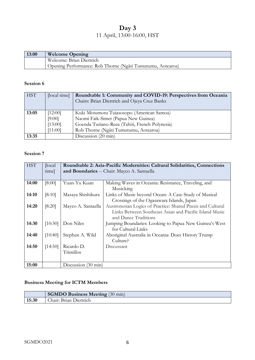## **Day 3**  11 April, 13:00-16:00, HST

| 13:00 | <b>Welcome Opening</b>                                     |
|-------|------------------------------------------------------------|
|       | Welcome: Brian Diettrich                                   |
|       | Opening Performance: Rob Thorne (Ngāti Tumutumu, Aotearoa) |

#### **Session 6**

| <b>HST</b> | [local time] | Roundtable 1: Community and COVID-19: Perspectives from Oceania |  |
|------------|--------------|-----------------------------------------------------------------|--|
|            |              | Chairs: Brian Diettrich and Ojeya Cruz Banks                    |  |
|            |              |                                                                 |  |
| 13:05      | [12:00]      | Kuki Motumotu Tuiasosopo (American Samoa)                       |  |
|            | [9:00]       | Naomi Faik-Simet (Papua New Guinea)                             |  |
|            | [13:00]      | Goenda Turiano-Reea (Tahiti, French Polynesia)                  |  |
|            | [11:00]      | Rob Thorne (Ngāti Tumutumu, Aotearoa)                           |  |
| 13:35      |              | Discussion (20 min)                                             |  |

#### **Session 7**

| <b>HST</b> | [local] |                                             | Roundtable 2: Asia-Pacific Modernities: Cultural Solidarities, Connections |
|------------|---------|---------------------------------------------|----------------------------------------------------------------------------|
|            | time]   | and Boundaries -- Chair: Mayco A. Santaella |                                                                            |
|            |         |                                             |                                                                            |
| 14:00      | [8:00]  | Yuan-Yu Kuan                                | Making Waves in Oceania: Resistance, Traveling, and                        |
|            |         |                                             | Musicking                                                                  |
| 14:10      | [8:10]  | Masaya Shishikura                           | Links of Music beyond Ocean: A Case Study of Musical                       |
|            |         |                                             | Crossings of the Ogasawara Islands, Japan                                  |
| 14:20      | [8:20]  | Mayco A. Santaella                          | Austronesian Logics of Practice: Shared Praxis and Cultural                |
|            |         |                                             | Links Between Southeast Asian and Pacific Island Music                     |
|            |         |                                             | and Dance Traditions                                                       |
| 14:30      | [10:30] | Don Niles                                   | Jumping Boundaries: Looking to Papua New Guinea's West                     |
|            |         |                                             | for Cultural Links                                                         |
| 14:40      | [10:40] | Stephen A. Wild                             | Aboriginal Australia in Oceania: Does History Trump                        |
|            |         |                                             | Culture?                                                                   |
| 14:50      | [14:50] | Ricardo D.                                  | Discussant                                                                 |
|            |         | Trimillos                                   |                                                                            |
|            |         |                                             |                                                                            |
| 15:00      |         | Discussion (30 min)                         |                                                                            |

#### **Business Meeting for ICTM Members**

|       | <b>SGMDO Business Meeting (30 min)</b> |
|-------|----------------------------------------|
| 15:30 | Chair: Brian Diettrich                 |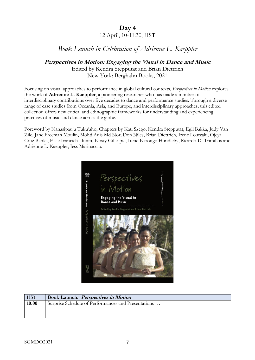## **Day 4**  12 April, 10-11:30, HST

## *Book Launch in Celebration of Adrienne L. Kaeppler*

## **Perspectives in Motion: Engaging the Visual in Dance and Music**

Edited by Kendra Stepputat and Brian Diettrich New York: Berghahn Books, 2021

Focusing on visual approaches to performance in global cultural contexts, *Perspectives in Motion* explores the work of **Adrienne L. Kaeppler**, a pioneering researcher who has made a number of interdisciplinary contributions over five decades to dance and performance studies. Through a diverse range of case studies from Oceania, Asia, and Europe, and interdisciplinary approaches, this edited collection offers new critical and ethnographic frameworks for understanding and experiencing practices of music and dance across the globe.

Foreword by Nanasipau'u Tuku'aho; Chapters by Kati Szego, Kendra Stepputat, Egil Bakka, Judy Van Zile, Jane Freeman Moulin, Mohd Anis Md Nor, Don Niles, Brian Diettrich, Irene Loutzaki, Ojeya Cruz Banks, Elsie Ivancich Dunin, Kirsty Gillespie, Irene Karongo Hundleby, Ricardo D. Trimillos and Adrienne L. Kaeppler, Jess Marinaccio.



| <b>HST</b> | <b>Book Launch: Perspectives in Motion</b>          |
|------------|-----------------------------------------------------|
| 10:00      | Surprise Schedule of Performances and Presentations |
|            |                                                     |
|            |                                                     |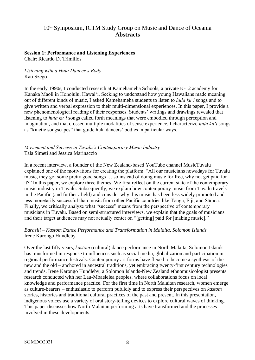### 10th Symposium, ICTM Study Group on Music and Dance of Oceania **Abstracts**

### **Session 1: Performance and Listening Experiences**

Chair: Ricardo D. Trimillos

#### *Listening with a Hula Dancer's Body* Kati Szego

In the early 1990s, I conducted research at Kamehameha Schools, a private K-12 academy for Kānaka Maoli in Honolulu, Hawai'i. Seeking to understand how young Hawaiians made meaning out of different kinds of music, I asked Kamehameha students to listen to *hula ku'i* songs and to give written and verbal expression to their multi-dimensional experiences. In this paper, I provide a new phenomenological reading of their responses. Students' writings and drawings revealed that listening to *hula ku'i* songs called forth meanings that were embodied through perception and imagination, and that crossed multiple modalities of sense experience. I characterize *hula ku'i* songs as "kinetic songscapes" that guide hula dancers' bodies in particular ways.

#### *Movement and Success in Tuvalu's Contemporary Music Industry* Tala Simeti and Jessica Marinaccio

In a recent interview, a founder of the New Zealand-based YouTube channel MusicTuvalu explained one of the motivations for creating the platform: "All our musicians nowadays for Tuvalu music, they got some pretty good songs … so instead of doing music for free, why not get paid for it?" In this paper, we explore three themes. We first reflect on the current state of the contemporary music industry in Tuvalu. Subsequently, we explain how contemporary music from Tuvalu travels in the Pacific (and further afield) and consider why this music has been less widely promoted and less monetarily successful than music from other Pacific countries like Tonga, Fiji, and Sāmoa. Finally, we critically analyze what "success" means from the perspective of contemporary musicians in Tuvalu. Based on semi-structured interviews, we explain that the goals of musicians and their target audiences may not actually center on "[getting] paid for [making music]."

#### *Barasili – Kastom Dance Performance and Transformation in Malaita, Solomon Islands* Irene Karongo Hundleby

Over the last fifty years, *kastom* (cultural) dance performance in North Malaita, Solomon Islands has transformed in response to influences such as social media, globalization and participation in regional performance festivals. Contemporary art forms have flexed to become a synthesis of the new and the old – anchored in ancestral traditions, yet embracing twenty-first century technologies and trends. Irene Karongo Hundleby, a Solomon Islands-New Zealand ethnomusicologist presents research conducted with her Lau-Mbaelelea peoples, where collaborations focus on local knowledge and performance practice. For the first time in North Malaitan research, women emerge as culture-bearers – enthusiastic to perform publicly and to express their perspectives on *kastom*  stories, histories and traditional cultural practices of the past and present. In this presentation, indigenous voices use a variety of oral story-telling devices to explore cultural waves of thinking. This paper discusses how North Malaitan performing arts have transformed and the processes involved in these developments.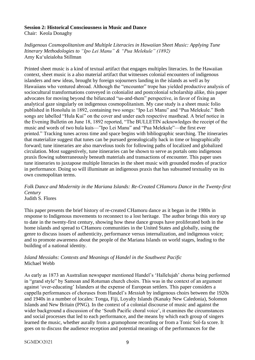#### **Session 2: Historical Consciousness in Music and Dance**

Chair: Keola Donaghy

*Indigenous Cosmopolitanism and Multiple Literacies in Hawaiian Sheet Music: Applying Tune Itinerary Methodologies to "Ipo Lei Manu" & "Pua Melekule" (1892)* Amy Kuʻuleialoha Stillman

Printed sheet music is a kind of textual artifact that engages multiples literacies. In the Hawaiian context, sheet music is a also material artifact that witnesses colonial encounters of indigenous islanders and new ideas, brought by foreign sojourners landing in the islands as well as by Hawaiians who ventured abroad. Although the "encounter" trope has yielded productive analysis of sociocultural transformations conveyed in colonialist and postcolonial scholarship alike, this paper advocates for moving beyond the bifurcated "us-and-them" perspective, in favor of fixing an analytical gaze singularly on indigenous cosmopolitanism. My case study is a sheet music folio published in Honolulu in 1892, containing two songs: "Ipo Lei Manu" and "Pua Melekule." Both songs are labelled "Hula Kui" on the cover and under each respective masthead. A brief notice in the Evening Bulletin on June 18, 1892 reported, "The BULLETIN acknowledges the receipt of the music and words of two hula kuis—"Ipo Lei Manu" and "Pua Melekule"—the first ever printed." Tracking tunes across time and space begins with bibliographic searching. The itineraries that materialize suggest that tunes can be pursued genealogically back in time or biographically forward; tune itineraries are also marvelous tools for following paths of localized and globalized circulation. Most suggestively, tune itineraries can be shown to serve as portals onto indigenous praxis flowing subterraneously beneath materials and transactions of encounter. This paper uses tune itineraries to juxtapose multiple literacies in the sheet music with grounded modes of practice in performance. Doing so will illuminate an indigenous praxis that has subsumed textuality on its own cosmopolitan terms.

## *Folk Dance and Modernity in the Mariana Islands: Re-Created CHamoru Dance in the Twenty-first Century*

Judith S. Flores

This paper presents the brief history of re-created CHamoru dance as it began in the 1980s in response to Indigenous movements to reconnect to a lost heritage. The author brings this story up to date in the twenty-first century, showing how these dance groups have proliferated both in the home islands and spread to CHamoru communities in the United States and globally, using the genre to discuss issues of authenticity, performance versus internalization, and indigenous voice; and to promote awareness about the people of the Mariana Islands on world stages, leading to the building of a national identity.

#### *Island Messiahs: Contexts and Meanings of Handel in the Southwest Pacific* Michael Webb

As early as 1873 an Australian newspaper mentioned Handel's 'Hallelujah' chorus being performed in "grand style" by Samoan and Rotuman church choirs. This was in the context of an argument against 'over-educating' Islanders at the expense of European settlers. This paper considers a cappella performances of choruses from Handel's *Messiah* by indigenous choirs between the 1920s and 1940s in a number of locales: Tonga, Fiji, Loyalty Islands (Kanaky New Caledonia), Solomon Islands and New Britain (PNG). In the context of a colonial discourse of music and against the wider background a discussion of the 'South Pacific choral voice', it examines the circumstances and social processes that led to each performance, and the means by which each group of singers learned the music, whether aurally from a gramophone recording or from a Tonic Sol-fa score. It goes on to discuss the audience reception and potential meanings of the performances for the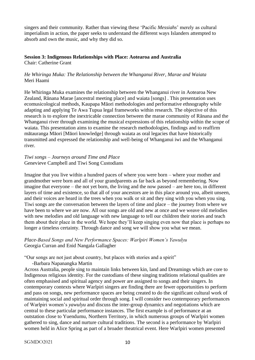singers and their community. Rather than viewing these 'Pacific *Messiahs*' merely as cultural imperialism in action, the paper seeks to understand the different ways Islanders attempted to absorb and own the music, and why they did so.

#### **Session 3: Indigenous Relationships with Place: Aotearoa and Australia** Chair: Catherine Grant

#### *He Whiringa Muka: The Relationship between the Whanganui River, Marae and Waiata* Meri Haami

He Whiringa Muka examines the relationship between the Whanganui river in Aotearoa New Zealand, Rānana Marae [ancestral meeting place] and waiata [songs] . This presentation uses ecomusicological methods, Kaupapa Māori methodologies and performative ethnography while adapting and applying Te Awa Tupua legal frameworks within research. The objective of this research is to explore the inextricable connection between the marae community of Rānana and the Whanganui river through examining the musical expressions of this relationship within the scope of waiata. This presentation aims to examine the research methodologies, findings and to reaffirm mātauranga Māori [Māori knowledge] through waiata as oral legacies that have historically transmitted and expressed the relationship and well-being of Whanganui iwi and the Whanganui river.

*Tiwi songs – Journeys around Time and Place* Genevieve Campbell and Tiwi Song Custodians

Imagine that you live within a hundred paces of where you were born – where your mother and grandmother were born and all of your grandparents as far back as beyond remembering. Now imagine that everyone – the not yet born, the living and the now passed – are here too, in different layers of time and existence, so that all of your ancestors are in this place around you, albeit unseen, and their voices are heard in the trees when you walk or sit and they sing with you when you sing. Tiwi songs are the conversation between the layers of time and place – the journey from where we have been to where we are now. All our songs are old and new at once and we weave old melodies with new melodies and old language with new language to tell our children their stories and teach them about their place in the world. We hope they'll keep singing even now that place is perhaps no longer a timeless certainty. Through dance and song we will show you what we mean.

#### *Place-Based Songs and New Performance Spaces: Warlpiri Women's Yawulyu* Georgia Curran and Enid Nangala Gallagher

"Our songs are not just about country, but places with stories and a spirit"

-Barbara Napanangka Martin

Across Australia, people sing to maintain links between kin, land and Dreamings which are core to Indigenous religious identity. For the custodians of these singing traditions relational qualities are often emphasised and spiritual agency and power are assigned to songs and their singers. In contemporary contexts where Warlpiri singers are finding there are fewer opportunities to perform and pass on songs, new performance spaces are being created to do the significant cultural work of maintaining social and spiritual order through song. I will consider two contemporary performances of Warlpiri women's *yawulyu* and discuss the inter-group dynamics and negotiations which are central to these particular performance instances. The first example is of performance at an outstation close to Yuendumu, Northern Territory, in which numerous groups of Warlpiri women gathered to sing, dance and nurture cultural traditions. The second is a performance by Warlpiri women held in Alice Spring as part of a broader theatrical event. Here Warlpiri women presented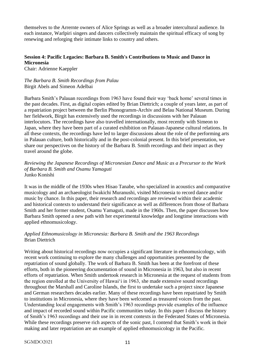themselves to the Arrernte owners of Alice Springs as well as a broader intercultural audience. In each instance, Warlpiri singers and dancers collectively maintain the spiritual efficacy of song by renewing and reforging their intimate links to country and others.

#### **Session 4: Pacific Legacies: Barbara B. Smith's Contributions to Music and Dance in Micronesia**

Chair: Adrienne Kaeppler

*The Barbara B. Smith Recordings from Palau* Birgit Abels and Simeon Adelbai

Barbara Smith's Palauan recordings from 1963 have found their way 'back home' several times in the past decades. First, as digital copies edited by Brian Diettrich; a couple of years later, as part of a repatriation project between the Berlin Phonogramm-Archiv and Belau National Museum. During her fieldwork, Birgit has extensively used the recordings in discussions with her Palauan interlocutors. The recordings have also travelled internationally, most recently with Simeon to Japan, where they have been part of a curated exhibition on Palauan-Japanese cultural relations. In all these contexts, the recordings have led to larger discussions about the role of the performing arts in Palauan culture, both historically and in the post-colonial present. In this brief presentation, we share our perspectives on the history of the Barbara B. Smith recordings and their impact as they travel around the globe.

*Reviewing the Japanese Recordings of Micronesian Dance and Music as a Precursor to the Work of Barbara B. Smith and Osamu Yamaguti* Junko Konishi

It was in the middle of the 1930s when Hisao Tanabe, who specialized in acoustics and comparative musicology and an archaeologist Iwakichi Muranushi, visited Micronesia to record dance and/or music by chance. In this paper, their research and recordings are reviewed within their academic and historical contexts to understand their significance as well as differences from those of Barbara Smith and her former student, Osamu Yamaguti, made in the 1960s. Then, the paper discusses how Barbara Smith opened a new path with her experimental knowledge and longtime interactions with applied ethnomusicology.

#### *Applied Ethnomusicology in Micronesia: Barbara B. Smith and the 1963 Recordings* Brian Diettrich

Writing about historical recordings now occupies a significant literature in ethnomusicology, with recent work continuing to explore the many challenges and opportunities presented by the repatriation of sound globally. The work of Barbara B. Smith has been at the forefront of these efforts, both in the pioneering documentation of sound in Micronesia in 1963, but also in recent efforts of repatriation. When Smith undertook research in Micronesia at the request of students from the region enrolled at the University of Hawai'i in 1963, she made extensive sound recordings throughout the Marshall and Caroline Islands, the first to undertake such a project since Japanese and German researchers decades earlier. Many of these recordings have been repatriated by Smith to institutions in Micronesia, where they have been welcomed as treasured voices from the past. Understanding local engagements with Smith's 1963 recordings provide examples of the influence and impact of recorded sound within Pacific communities today. In this paper I discuss the history of Smith's 1963 recordings and their use in in recent contexts in the Federated States of Micronesia. While these recordings preserve rich aspects of the sonic past, I contend that Smith's work in their making and later repatriation are an example of applied ethnomusicology in the Pacific.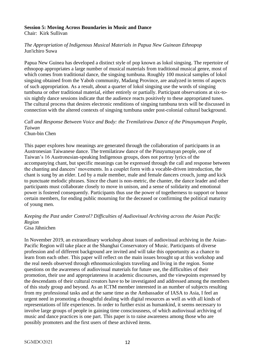#### **Session 5: Moving Across Boundaries in Music and Dance**

Chair: Kirk Sullivan

#### *The Appropriation of Indigenous Musical Materials in Papua New Guinean Ethnopop* Jun'ichiro Suwa

Papua New Guinea has developed a distinct style of pop known as lokol singsing. The repertoire of ethnopop appropriates a large number of musical materials from traditional musical genre, most of which comes from traditional dance, the singsing tumbuna. Roughly 100 musical samples of lokol singsing obtained from the Yabob community, Madang Province, are analyzed in terms of aspects of such appropriation. As a result, about a quarter of lokol singsing use the words of singsing tumbuna or other traditional material, either entirely or partially. Participant observations at six-tosix nightly dance sessions indicate that the audience reacts positively to these appropriated tunes. The cultural process that desires electronic renditions of singsing tumbuna texts will be discussed in connection with the altered contexts of singsing tumbuna under post-colonial cultural background.

*Call and Response Between Voice and Body: the Tremilatiraw Dance of the Pinuyumayan People, Taiwan* Chun-bin Chen

This paper explores how meanings are generated through the collaboration of participants in an Austronesian Taiwanese dance. The tremilatiraw dance of the Pinuyumayan people, one of Taiwan's 16 Austronesian-speaking Indigenous groups, does not portray lyrics of the accompanying chant, but specific meanings can be expressed through the call and response between the chanting and dancers' movements. In a couplet form with a vocable-driven introduction, the chant is sung by an elder. Led by a male member, male and female dancers crouch, jump and kick to punctuate melodic phrases. Since the chant is non-metric, the chanter, the dance leader and other participants must collaborate closely to move in unison, and a sense of solidarity and emotional power is fostered consequently. Participants thus use the power of togetherness to support or honor certain members, for ending public mourning for the deceased or confirming the political maturity of young men.

### *Keeping the Past under Control? Difficulties of Audiovisual Archiving across the Asian Pacific Region*

Gisa Jähnichen

In November 2019, an extraordinary workshop about issues of audiovisual archiving in the Asian-Pacific Region will take place at the Shanghai Conservatory of Music. Participants of diverse profession and of different background are invited and will take this opportunity as a chance to learn from each other. This paper will reflect on the main issues brought up at this workshop and the real needs observed through ethnomusicologists traveling and living in the region. Some questions on the awareness of audiovisual materials for future use, the difficulties of their promotion, their use and appropriateness in academic discourses, and the viewpoints expressed by the descendants of their cultural creators have to be investigated and addressed among the members of this study group and beyond. As an ICTM member interested in an number of subjects resulting from my professional tasks and at the same time as the Ambassador of IASA to Asia, I feel an urgent need in promoting a thoughtful dealing with digital resources as well as with all kinds of representations of life experiences. In order to further exist as humankind, it seems necessary to involve large groups of people in gaining time consciousness, of which audiovisual archiving of music and dance practices is one part. This paper is to raise awareness among those who are possibly promoters and the first users of these archived items.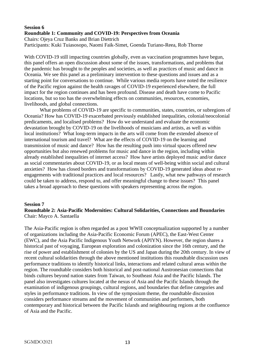#### **Session 6 Roundtable 1: Community and COVID-19: Perspectives from Oceania** Chairs: Ojeya Cruz Banks and Brian Diettrich

Participants: Kuki Tuiasosopo, Naomi Faik-Simet, Goenda Turiano-Reea, Rob Thorne

With COVID-19 still impacting countries globally, even as vaccination programmes have begun, this panel offers an open discussion about some of the issues, transformations, and problems that the pandemic has brought to the peoples and societies, as well as practices of music and dance in Oceania. We see this panel as a preliminary intervention to these questions and issues and as a starting point for conversations to continue. While various media reports have noted the resilience of the Pacific region against the health ravages of COVID-19 experienced elsewhere, the full impact for the region continues and has been profound. Disease and death have come to Pacific locations, but so too has the overwhelming effects on communities, resources, economies, livelihoods, and global connections.

What problems of COVID-19 are specific to communities, states, countries, or subregions of Oceania? How has COVID-19 exacerbated previously established inequalities, colonial/neocolonial predicaments, and localised problems? How do we understand and evaluate the economic devastation brought by COVID-19 on the livelihoods of musicians and artists, as well as within local institutions? What long-term impacts in the arts will come from the extended absence of international tourism and travel? What are the effects of COVID-19 on the learning and transmission of music and dance? How has the resulting push into virtual spaces offered new opportunities but also renewed problems for music and dance in the region, including within already established inequalities of internet access? How have artists deployed music and/or dance as social commentaries about COVID-19, or as local means of well-being within social and cultural anxieties? How has closed borders and transformations by COVID-19 generated ideas about reengagements with traditional practices and local resources? Lastly, what new pathways of research could be taken to address, respond to, and offer meaningful change to these issues? This panel takes a broad approach to these questions with speakers representing across the region.

#### **Session 7**

#### **Roundtable 2: Asia-Pacific Modernities: Cultural Solidarities, Connections and Boundaries**  Chair: Mayco A. Santaella

The Asia-Pacific region is often regarded as a post WWII conceptualization supported by a number of organizations including the Asia-Pacific Economic Forum (APEC), the East-West Center (EWC), and the Asia Pacific Indigenous Youth Network (APIYN). However, the region shares a historical past of voyaging, European exploration and colonization since the 16th century, and the rise of power and establishment of colonies by the US and Japan during the 20th century. In view of recent cultural solidarities through the above mentioned institutions this roundtable discussion uses performance traditions to identify historical links, interactions and related cultural areas within the region. The roundtable considers both historical and post-national Austronesian connections that binds cultures beyond nation states from Taiwan, to Southeast Asia and the Pacific Islands. The panel also investigates cultures located at the nexus of Asia and the Pacific Islands through the examination of indigenous groupings, cultural regions, and boundaries that define categories and styles in performance traditions. In view of the symposium theme, the roundtable discussion considers performance streams and the movement of communities and performers, both contemporary and historical between the Pacific Islands and neighbouring regions at the confluence of Asia and the Pacific.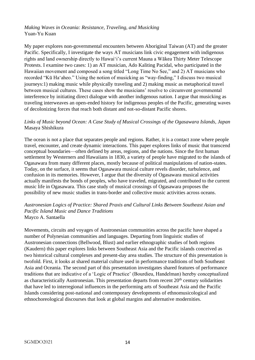#### *Making Waves in Oceania: Resistance, Traveling, and Musicking* Yuan-Yu Kuan

My paper explores non-governmental encounters between Aboriginal Taiwan (AT) and the greater Pacific. Specifically, I investigate the ways AT musicians link civic engagement with indigenous rights and land ownership directly to Hawaiʻi's current Mauna a Wākea Thirty Meter Telescope Protests. I examine two cases: 1) an AT musician, Ado Kaliting Pacidal, who participated in the Hawaiian movement and composed a song titled "Long Time No See," and 2) AT musicians who recorded "Kū Haʻaheo." Using the notion of musicking as "way-finding," I discuss two musical journeys:1) making music while physically traveling and 2) making music as metaphorical travel between musical cultures. These cases show the musicians' resolve to circumvent governmental interference by initiating direct dialogue with another indigenous nation. I argue that musicking as traveling interweaves an open-ended history for indigenous peoples of the Pacific, generating waves of decolonizing forces that reach both distant and not-so-distant Pacific shores.

#### *Links of Music beyond Ocean: A Case Study of Musical Crossings of the Ogasawara Islands, Japan* Masaya Shishikura

The ocean is not a place that separates people and regions. Rather, it is a contact zone where people travel, encounter, and create dynamic interactions. This paper explores links of music that transcend conceptual boundaries—often defined by areas, regions, and the nations. Since the first human settlement by Westerners and Hawaiians in 1830, a variety of people have migrated to the islands of Ogasawara from many different places, mostly because of political manipulations of nation-states. Today, on the surface, it seems that Ogasawara musical culture revels disorder, turbulence, and confusion in its memories. However, I argue that the diversity of Ogasawara musical activities actually manifests the bonds of peoples, who have traveled, migrated, and contributed to the current music life in Ogasawara. This case study of musical crossings of Ogasawara proposes the possibility of new music studies in trans-border and collective music activities across oceans.

#### *Austronesian Logics of Practice: Shared Praxis and Cultural Links Between Southeast Asian and Pacific Island Music and Dance Traditions* Mayco A. Santaella

Movements, circuits and voyages of Austronesian communities across the pacific have shaped a number of Polynesian communities and languages. Departing from linguistic studies of Austronesian connections (Bellwood, Blust) and earlier ethnographic studies of both regions (Kaudern) this paper explores links between Southeast Asia and the Pacific islands conceived as two historical cultural complexes and present-day area studies. The structure of this presentation is twofold. First, it looks at shared material culture used in performance traditions of both Southeast Asia and Oceania. The second part of this presentation investigates shared features of performance traditions that are indicative of a 'Logic of Practice' (Bourdieu, Handelman) hereby conceptualized as characteristically Austronesian. This presentation departs from recent  $20<sup>th</sup>$  century solidarities that have led to interregional influences in the performing arts of Southeast Asia and the Pacific Islands considering post-national and contemporary developments of ethnomusicological and ethnochoreological discourses that look at global margins and alternative modernities.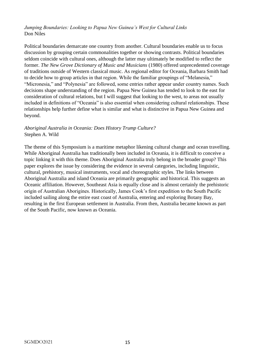#### *Jumping Boundaries: Looking to Papua New Guinea's West for Cultural Links* Don Niles

Political boundaries demarcate one country from another. Cultural boundaries enable us to focus discussion by grouping certain commonalities together or showing contrasts. Political boundaries seldom coincide with cultural ones, although the latter may ultimately be modified to reflect the former. *The New Grove Dictionary of Music and Musicians* (1980) offered unprecedented coverage of traditions outside of Western classical music. As regional editor for Oceania, Barbara Smith had to decide how to group articles in that region. While the familiar groupings of "Melanesia," "Micronesia," and "Polynesia" are followed, some entries rather appear under country names. Such decisions shape understanding of the region. Papua New Guinea has tended to look to the east for consideration of cultural relations, but I will suggest that looking to the west, to areas not usually included in definitions of "Oceania" is also essential when considering cultural relationships. These relationships help further define what is similar and what is distinctive in Papua New Guinea and beyond.

#### *Aboriginal Australia in Oceania: Does History Trump Culture?* Stephen A. Wild

The theme of this Symposium is a maritime metaphor likening cultural change and ocean travelling. While Aboriginal Australia has traditionally been included in Oceania, it is difficult to conceive a topic linking it with this theme. Does Aboriginal Australia truly belong in the broader group? This paper explores the issue by considering the evidence in several categories, including linguistic, cultural, prehistory, musical instruments, vocal and choreographic styles. The links between Aboriginal Australia and island Oceania are primarily geographic and historical. This suggests an Oceanic affiliation. However, Southeast Asia is equally close and is almost certainly the prehistoric origin of Australian Aborigines. Historically, James Cook's first expedition to the South Pacific included sailing along the entire east coast of Australia, entering and exploring Botany Bay, resulting in the first European settlement in Australia. From then, Australia became known as part of the South Pacific, now known as Oceania.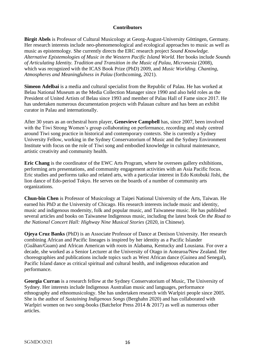#### **Contributors**

**Birgit Abels** is Professor of Cultural Musicology at Georg-August-University Göttingen, Germany. Her research interests include neo-phenomenological and ecological approaches to music as well as music as epistemology. She currently directs the ERC research project *Sound Knowledge. Alternative Epistemologies of Music in the Western Pacific Island World.* Her books include *Sounds of Articulating Identity. Tradition and Transition in the Music of Palau, Micronesia* (2008), which was recognized with the ICAS Book Prize (PhD) 2009, and *Music Worlding. Chanting, Atmospheres and Meaningfulness in Palau* (forthcoming, 2021).

**Simeon Adelbai** is a media and cultural specialist from the Republic of Palau. He has worked at Belau National Museum as the Media Collection Manager since 1990 and also held roles as the President of United Artists of Belau since 1993 and member of Palau Hall of Fame since 2017. He has undertaken numerous documentation projects with Palauan culture and has been an exhibit curator in Palau and internationally.

After 30 years as an orchestral horn player, **Genevieve Campbell** has, since 2007, been involved with the Tiwi Strong Women's group collaborating on performance, recording and study centred around Tiwi song practice in historical and contemporary contexts. She is currently a Sydney University Fellow, working in the Sydney Conservatorium of Music and the Sydney Environment Institute with focus on the role of Tiwi song and embodied knowledge in cultural maintenance, artistic creativity and community health.

**Eric Chang** is the coordinator of the EWC Arts Program, where he oversees gallery exhibitions, performing arts presentations, and community engagement activities with an Asia Pacific focus. Eric studies and performs taiko and related arts, with a particular interest in Edo Kotobuki Jishi, the lion dance of Edo-period Tokyo. He serves on the boards of a number of community arts organizations.

**Chun-bin Chen** is Professor of Musicology at Taipei National University of the Arts, Taiwan. He earned his PhD at the University of Chicago. His research interests include music and identity, music and indigenous modernity, folk and popular music, and Taiwanese music. He has published several articles and books on Taiwanese Indigenous music, including the latest book *On the Road to the National Concert Hall: Highway Nine Musical Stories* (2020, in Chinese).

**Ojeya Cruz Banks** (PhD) is an Associate Professor of Dance at Denison University. Her research combining African and Pacific lineages is inspired by her identity as a Pacific Islander (Guåhan/Guam) and African American with roots in Alabama, Kentucky and Lousiana. For over a decade, she worked as a Senior Lecturer at the University of Otago in Aotearoa/New Zealand. Her choreographies and publications include topics such as West African dance (Guinea and Senegal), Pacific Island dance as critical spiritual and cultural health, and indigenous education and performance.

**Georgia Curran** is a research fellow at the Sydney Conservatorium of Music, The University of Sydney. Her interests include Indigenous Australian music and languages, performance ethnography and ethnomusicology. She has undertaken research with Warlpiri people since 2005. She is the author of *Sustaining Indigenous Songs* (Berghahn 2020) and has collaborated with Warlpiri women on two song-books (Batchelor Press 2014 & 2017) as well as numerous other articles.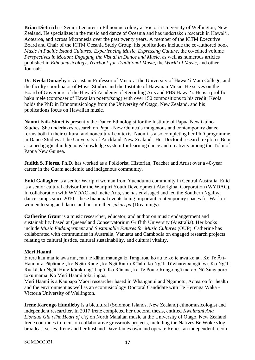**Brian Diettrich** is Senior Lecturer in Ethnomusicology at Victoria University of Wellington, New Zealand. He specializes in the music and dance of Oceania and has undertaken research in Hawai'i, Aotearoa, and across Micronesia over the past twenty years. A member of the ICTM Executive Board and Chair of the ICTM Oceania Study Group, his publications include the co-authored book *Music in Pacific Island Cultures: Experiencing Music, Expressing Culture, the co-edited volume Perspectives in Motion: Engaging the Visual in Dance and Music, as well as numerous articles* published in *Ethnomusicology*, *Yearbook for Traditional Music*, the *World of Music*, and other Journals.

**[Dr. Keola Donaghy](http://keoladonaghy.com/)** is Assistant Professor of Music at the University of Hawaiʻi Maui College, and the faculty coordinator of Music Studies and the [Institute of Hawaiian Music.](http://maui.hawaii.edu/ihm/) He serves on the Board of Governors of the Hawaiʻi Academy of Recording Arts and [PBS Hawaiʻi.](http://pbshawaii.org/) He is a prolific haku mele (composer of Hawaiian poetry/song) with over 150 compositions to his credit. Keola holds the PhD in Ethnomusicology from the University of Otago, New Zealand, and his publications focus on Hawaiian music.

**Naomi Faik-Simet** is presently the Dance Ethnologist for the Institute of Papua New Guinea Studies. She undertakes research on Papua New Guinea's indigenous and contemporary dance forms both in their cultural and noncultural contexts. Naomi is also completing her PhD programme in Dance Studies at the University of Auckland, New Zealand. Her Doctoral research explores Buai as a pedagogical indigenous knowledge system for learning dance and creativity among the Tolai of Papua New Guinea.

**Judith S. Flores**, Ph.D. has worked as a Folklorist, Historian, Teacher and Artist over a 40-year career in the Guam academic and indigenous community.

**Enid Gallagher** is a senior Warlpiri woman from Yuendumu community in Central Australia. Enid is a senior cultural advisor for the Warlpiri Youth Development Aboriginal Corporation (WYDAC). In collaboration with WYDAC and Incite Arts, she has envisaged and led the Southern Ngaliya dance camps since 2010 - these biannual events being important contemporary spaces for Warlpiri women to sing and dance and nurture their *jukurrpa* (Dreamings).

**Catherine Grant** is a music researcher, educator, and author on music endangerment and sustainability based at Queensland Conservatorium Griffith University (Australia). Her books include *Music Endangerment* and *Sustainable Futures for Music Cultures* (OUP). Catherine has collaborated with communities in Australia, Vanuatu and Cambodia on engaged research projects relating to cultural justice, cultural sustainability, and cultural vitality.

#### **Meri Haami**

E rere kau mai te awa nui, mai te kāhui maunga ki Tangaroa, ko au te ko te awa ko au. Ko Te Āti-Haunui-a-Pāpārangi, ko Ngāti Rangi, ko Ngā Rauru Kītahi, ko Ngāti Tūwharetoa ngā iwi. Ko Ngāti Ruakā, ko Ngāti Hine-kōrako ngā hapū. Ko Rānana, ko Te Pou o Rongo ngā marae. Nō Singapore tōku māmā. Ko Meri Haami tōku ingoa.

Meri Haami is a Kaupapa Māori researcher based in Whanganui and Ngāmotu, Aotearoa for health and the environment as well as an ecomusicology Doctoral Candidate with Te Herenga Waka - Victoria University of Wellington.

**Irene Karongo Hundleby** is a bicultural (Solomon Islands, New Zealand) ethnomusicologist and independent researcher. In 2017 Irene completed her doctoral thesis, entitled *Kwaimani Ana Liohaua Gia (The Heart of Us)* on North Malaitan music at the University of Otago, New Zealand. Irene continues to focus on collaborative grassroots projects, including the Natives Be Woke vlog broadcast series. Irene and her husband Dave James own and operate Relics, an independent record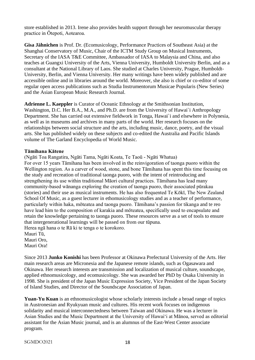store established in 2013. Irene also provides health support through her neuromuscular therapy practice in Ōtepoti, Aotearoa.

**Gisa Jähnichen** is Prof. Dr. (Ecomusicology, Performance Practices of Southeast Asia) at the Shanghai Conservatory of Music, Chair of the ICTM Study Group on Musical Instruments, Secretary of the IASA T&E Committee, Ambassador of IASA to Malaysia and China, and also teaches at Guangxi University of the Arts, Vienna University, Humboldt University Berlin, and as a consultant at the National Library of Laos. She studied at Charles University, Prague, Humboldt-University, Berlin, and Vienna University. Her many writings have been widely published and are accessible online and in libraries around the world. Moreover, she also is chief or co-editor of some regular open access publications such as Studia Instrumentorum Musicae Popularis (New Series) and the Asian European Music Research Journal.

**Adrienne L. Kaeppler** is Curator of Oceanic Ethnology at the Smithsonian Institution, Washington, D.C. Her B.A., M.A., and Ph.D. are from the University of Hawai`i Anthropology Department. She has carried out extensive fieldwork in Tonga, Hawai`i and elsewhere in Polynesia, as well as in museums and archives in many parts of the world. Her research focuses on the relationships between social structure and the arts, including music, dance, poetry, and the visual arts. She has published widely on these subjects and co-edited the Australia and Pacific Islands volume of The Garland Encyclopedia of World Music.

#### **Tāmihana Kātene**

(Ngāti Toa Rangatira, Ngāti Tama, Ngāti Koata, Te Taoū - Ngāti Whatua) For over 15 years Tāmihana has been involved in the reinvigoration of taonga puoro within the Wellington region. As a carver of wood, stone, and bone Tāmihana has spent this time focusing on the study and recreation of traditional taonga puoro, with the intent of reintroducing and strengthening its use within traditional Māori cultural practices. Tāmihana has lead many community-based wānanga exploring the creation of taonga puoro, their associated pūrakau (stories) and their use as musical instruments. He has also frequented Te Kōkī, The New Zealand School Of Music, as a guest lecturer in ethomusicology studies and as a teacher of performance, particularly within haka, mōteatea and taonga puoro. Tāmihana's passion for tikanga and te reo have lead him to the composition of karakia and mōteatea, specifically used to encapsulate and retain the knowledge pertaining to taonga puoro. These resources serve as a set of tools to ensure that intergenerational learnings will be passed on from our tūpuna.

Herea ngā hana o te Rā ki te tenga o te korokoro.

Mauri Tū, Mauri Oro, Mauri Ora!

Since 2013 **Junko Konishi** has been Professor at Okinawa Prefectural University of the Arts. Her main research areas are Micronesia and the Japanese remote islands, such as Ogasawara and Okinawa. Her research interests are transmission and localization of musical culture, soundscape, applied ethnomusicology, and ecomusicology. She was awarded her PhD by Osaka University in 1998. She is president of the Japan Music Expression Society, Vice President of the Japan Society of Island Studies, and Director of the Soundscape Association of Japan.

**Yuan-Yu Kuan** is an ethnomusicologist whose scholarly interests include a broad range of topics in Austronesian and Ryukyuan music and cultures. His recent work focuses on indigenous solidarity and musical interconnectedness between Taiwan and Okinawa. He was a lecturer in Asian Studies and the Music Department at the University of Hawai'i at Mānoa, served as editorial assistant for the Asian Music journal, and is an alumnus of the East-West Center associate program.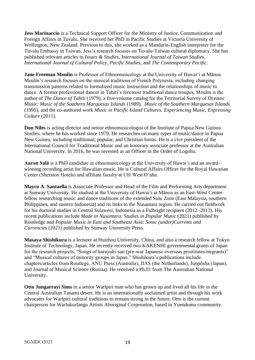**Jess Marinaccio** is a Technical Support Officer for the Ministry of Justice, Communication and Foreign Affairs in Tuvalu. She received her PhD in Pacific Studies at Victoria University of Wellington, New Zealand. Previous to this, she worked as a Mandarin-English interpreter for the Tuvalu Embassy in Taiwan. Jess's research focuses on Tuvalu-Taiwan cultural diplomacy. She has published relevant articles in *Issues & Studies*, *International Journal of Taiwan Studies*, *International Journal of Cultural Policy*, *Pacific Studies*, and *The Contemporary Pacific*.

**Jane Freeman Moulin** is Professor of Ethnomusicology at the University of Hawai'i at Mānoa. Moulin's research focuses on the musical traditions of French Polynesia, including changing transmission patterns related to formalized music instruction and the relationships of music to dance. A former professional dancer in Tahiti's foremost traditional dance troupes, Moulin is the author of *The Dance of Tahiti* (1979), a five-volume catalog for the Territorial Survey of Oceanic Music: *Music of the Southern Marquesas Islands* (1989), *Music of the Southern Marquesas Islands* (1995), and the co-authored work *Music in Pacific Island Cultures. Experiencing Music, Expressing Culture* (2011).

**Don Niles** is acting director and senior ethnomusicologist of the Institute of Papua New Guinea Studies, where he has worked since 1979. He researches on many types of music/dance in Papua New Guinea, including traditional, popular, and Christian forms. He is a vice president of the International Council for Traditional Music and an honorary associate professor at the Australian National University. In 2016, he was invested as an Officer in the Order of Logohu.

**Aaron Salā** is a PhD candidate in ethnomusicology at the University of Hawaiʻi and an awardwinning recording artist for Hawaiian music. He is Cultural Affairs Officer for the Royal Hawaiian Center (Sheraton Hotels) and affiliate faculty at UH West Oʻahu.

**Mayco A. Santaella** is Associate Professor and Head of the Film and Performing Arts department at Sunway University. He studied at the University of Hawaiʻi at Mānoa as an East-West Center fellow researching music and dance traditions of the extended Sulu Zone (East Malaysia, southern Philippines, and eastern Indonesia) and its links to the Nusantara region. He carried out fieldwork for his doctoral studies in Central Sulawesi, Indonesia as a Fulbright recipient (2012–2013). His recent publications include *Made in Nusantara: Studies in Popular Music* (2021) published by Routledge and *Popular Music in East and Southeast Asia: Sonic (under)Currents and Currencies* (2021) published by Sunway University Press.

**Masaya Shishikura** is a lecturer at Huizhou University, China, and also a research fellow at Tokyo Institute of Technology, Japan. He recently received two KAKENHI governmental grants of Japan for the research projects, "Songs of karayuki-san (pre-war Japanese overseas prostitutes/migrants)" and "Musical cultures of minority groups in Japan." Shishikura's publications include chapters/articles from Routlege, ANU Press (Australia), IIAS (the Netherlands), Junpōsha (Japan), and Journal of Musical Science (Russia). He received a Ph.D. from The Australian National University.

**Otto Jungarrayi Sims** in a senior Warlpiri man who has grown up and lived all his life in the Central Australian Tanami desert. He is an internationally acclaimed artist and through his work advocates for Warlpiri cultural traditions to remain strong in the future. Otto is the current chairperson for Warlukurlangu Artists Aboriginal Corporation, based in Yuendumu community.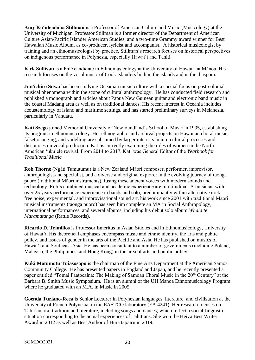**Amy Kuʻuleialoha Stillman** is a Professor of American Culture and Music (Musicology) at the University of Michigan. Professor Stillman is a former director of the Department of American Culture Asian/Pacific Islander American Studies, and a two-time Grammy award winner for Best Hawaiian Music Album, as co-producer, lyricist and accompanist. A historical musicologist by training and an ethnomusicologist by practice, Stillmanʻs research focuses on historical perspectives on indigenous performance in Polynesia, especially Hawaiʻi and Tahiti.

**Kirk Sullivan** is a PhD candidate in Ethnomusicology at the University of Hawai'i at Mānoa. His research focuses on the vocal music of Cook Islanders both in the islands and in the diaspora.

**Jun'ichiro Suwa** has been studying Oceanian music culture with a special focus on post-colonial musical phenomena within the scope of cultural anthropology. He has conducted field research and published a monograph and articles about Papua New Guinean guitar and electronic band music in the coastal Madang area as well as on traditional dances. His recent interest in Oceania includes acoustemology of island and maritime settings, and has started preliminary surveys in Melanesia, particularly in Vanuatu.

**Kati Szego** joined Memorial University of Newfoundland's School of Music in 1995, establishing its program in ethnomusicology. Her ethnographic and archival projects on Hawaiian choral music, falsetto singing, and yodelling are subsumed by larger interests in intercultural processes and discourses on vocal production. Kati is currently examining the roles of women in the North American ʻukulele revival. From 2014 to 2017, Kati was General Editor of the *Yearbook for Traditional Music.*

**Rob Thorne** (Ngāti Tumutumu) is a New Zealand Māori composer, performer, improvisor, anthropologist and specialist, and a diverse and original explorer in the evolving journey of taonga puoro (traditional Māori instruments), fusing these ancient voices with modern sounds and technology. Rob's combined musical and academic experience are multitudinal. A musician with over 25 years performance experience in bands and solo, predominantly within alternative rock, free noise, experimental, and improvisational sound art, his work since 2001 with traditional Māori musical instruments (taonga puoro) has seen him complete an MA in Social Anthropology, international performances, and several albums, including his debut solo album *Whaia te Maramatanga* (Rattle Records).

**Ricardo D. Trimillos** is Professor Emeritus in Asian Studies and in Ethnomusicology, University of Hawai'i. His theoretical emphases encompass music and ethnic identity, the arts and public policy, and issues of gender in the arts of the Pacific and Asia. He has published on musics of Hawaiʻi and Southeast Asia. He has been consultant to a number of governments (including Poland, Malaysia, the Philippines, and Hong Kong) in the area of arts and public policy.

**Kuki Motumotu Tuiasosopo** is the chairman of the Fine Arts Department at the American Samoa Community College. He has presented papers in England and Japan, and he recently presented a paper entitled "Tomai Faatoeaina: The Making of Samoan Choral Music in the 20<sup>th</sup> Century" at the Barbara B. Smith Music Symposium. He is an alumni of the UH Manoa Ethnomusicology Program where he graduated with an M.A. in Music in 2005.

**Goenda Turiano-Reea** is Senior Lecturer in Polynesian languages, literature, and civilization at the University of French Polynesia, in the EASTCO laboratory (EA 4241). Her research focuses on Tahitian oral tradition and literature, including songs and dances, which reflect a social-linguistic situation corresponding to the actual experiences of Tahitians. She won the Heiva Best Writer Award in 2012 as well as Best Author of Hura tapairu in 2019.